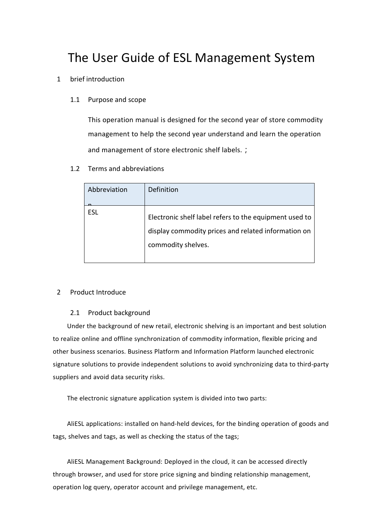# The User Guide of ESL Management System

- 1 brief introduction
	- 1.1 Purpose and scope

This operation manual is designed for the second year of store commodity management to help the second year understand and learn the operation and management of store electronic shelf labels.;

1.2 Terms and abbreviations

| Abbreviation | <b>Definition</b>                                                                                                                   |
|--------------|-------------------------------------------------------------------------------------------------------------------------------------|
| ESL          | Electronic shelf label refers to the equipment used to<br>display commodity prices and related information on<br>commodity shelves. |

#### 2 Product Introduce

#### 2.1 Product background

Under the background of new retail, electronic shelving is an important and best solution to realize online and offline synchronization of commodity information, flexible pricing and other business scenarios. Business Platform and Information Platform launched electronic signature solutions to provide independent solutions to avoid synchronizing data to third-party suppliers and avoid data security risks.

The electronic signature application system is divided into two parts:

AliESL applications: installed on hand-held devices, for the binding operation of goods and tags, shelves and tags, as well as checking the status of the tags;

AliESL Management Background: Deployed in the cloud, it can be accessed directly through browser, and used for store price signing and binding relationship management, operation log query, operator account and privilege management, etc.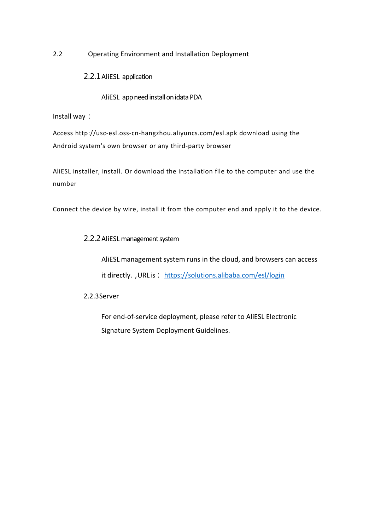2.2 Operating Environment and Installation Deployment

2.2.1AliESL application

AliESL app need install on idata PDA

Install way:

Access http://usc-esl.oss-cn-hangzhou.aliyuncs.com/esl.apk download using the Android system's own browser or any third-party browser

AliESL installer, install. Or download the installation file to the computer and use the number

Connect the device by wire, install it from the computer end and apply it to the device.

## 2.2.2 AliESL management system

AliESL management system runs in the cloud, and browsers can access it directly., URL is: https://solutions.alibaba.com/esl/login

## 2.2.3Server

For end-of-service deployment, please refer to AliESL Electronic Signature System Deployment Guidelines.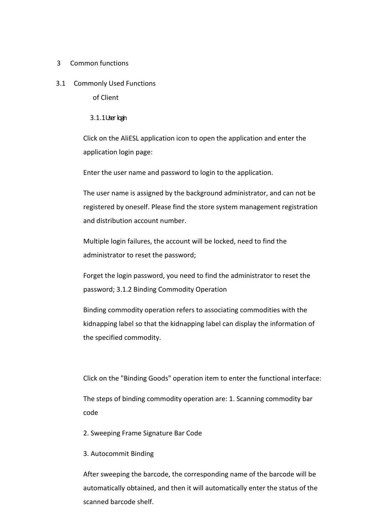## 3 Common functions

3.1 Commonly Used Functions

of Client

## 3.1.1Userlogin

Click on the AliESL application icon to open the application and enter the application login page:

Enter the user name and password to login to the application.

The user name is assigned by the background administrator, and can not be registered by oneself. Please find the store system management registration and distribution account number.

Multiple login failures, the account will be locked, need to find the administrator to reset the password;

Forget the login password, you need to find the administrator to reset the password; 3.1.2 Binding Commodity Operation

Binding commodity operation refers to associating commodities with the kidnapping label so that the kidnapping label can display the information of the specified commodity.

Click on the "Binding Goods" operation item to enter the functional interface:

The steps of binding commodity operation are: 1. Scanning commodity bar code

2. Sweeping Frame Signature Bar Code

## 3. Autocommit Binding

After sweeping the barcode, the corresponding name of the barcode will be automatically obtained, and then it will automatically enter the status of the scanned barcode shelf.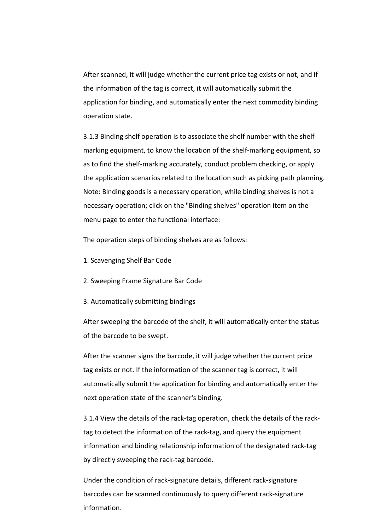After scanned, it will judge whether the current price tag exists or not, and if the information of the tag is correct, it will automatically submit the application for binding, and automatically enter the next commodity binding operation state.

3.1.3 Binding shelf operation is to associate the shelf number with the shelf marking equipment, to know the location of the shelf-marking equipment, so as to find the shelf-marking accurately, conduct problem checking, or apply the application scenarios related to the location such as picking path planning. Note: Binding goods is a necessary operation, while binding shelves is not a necessary operation; click on the "Binding shelves" operation item on the menu page to enter the functional interface:

The operation steps of binding shelves are as follows:

- 1. Scavenging Shelf Bar Code
- 2. Sweeping Frame Signature Bar Code
- 3. Automatically submitting bindings

After sweeping the barcode of the shelf, it will automatically enter the status of the barcode to be swept.

After the scanner signs the barcode, it will judge whether the current price tag exists or not. If the information of the scanner tag is correct, it will automatically submit the application for binding and automatically enter the next operation state of the scanner's binding.

3.1.4 View the details of the rack-tag operation, check the details of the rack tag to detect the information of the rack-tag, and query the equipment information and binding relationship information of the designated rack-tag by directly sweeping the rack-tag barcode.

Under the condition of rack-signature details, different rack-signature barcodes can be scanned continuously to query different rack-signature information.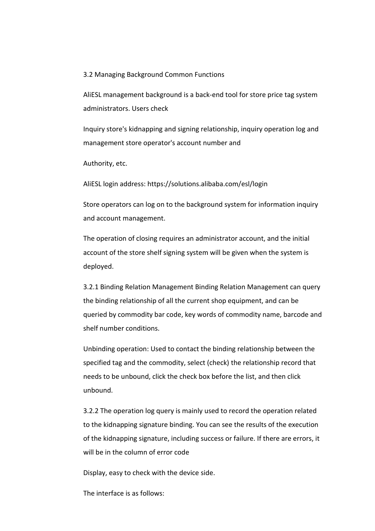3.2 Managing Background Common Functions

AliESL management background is a back-end tool for store price tag system administrators. Users check

Inquiry store's kidnapping and signing relationship, inquiry operation log and management store operator's account number and

Authority, etc.

AliESL login address: https://solutions.alibaba.com/esl/login

Store operators can log on to the background system for information inquiry and account management.

The operation of closing requires an administrator account, and the initial account of the store shelf signing system will be given when the system is deployed.

3.2.1 Binding Relation Management Binding Relation Management can query the binding relationship of all the current shop equipment, and can be queried by commodity bar code, key words of commodity name, barcode and shelf number conditions.

Unbinding operation: Used to contact the binding relationship between the specified tag and the commodity, select (check) the relationship record that needs to be unbound, click the check box before the list, and then click unbound.

3.2.2 The operation log query is mainly used to record the operation related to the kidnapping signature binding. You can see the results of the execution of the kidnapping signature, including success or failure. If there are errors, it will be in the column of error code

Display, easy to check with the device side.

The interface is as follows: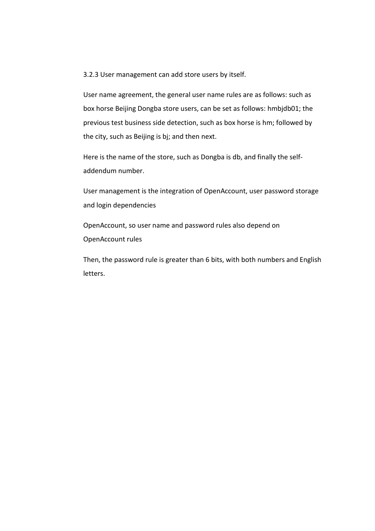3.2.3 User management can add store users by itself.

User name agreement, the general user name rules are as follows: such as box horse Beijing Dongba store users, can be set as follows: hmbjdb01; the previous test business side detection, such as box horse is hm; followed by the city, such as Beijing is bj; and then next.

Here is the name of the store, such as Dongba is db, and finally the selfaddendum number.

User management is the integration of OpenAccount, user password storage and login dependencies

OpenAccount, so user name and password rules also depend on OpenAccount rules

Then, the password rule is greater than 6 bits, with both numbers and English letters.